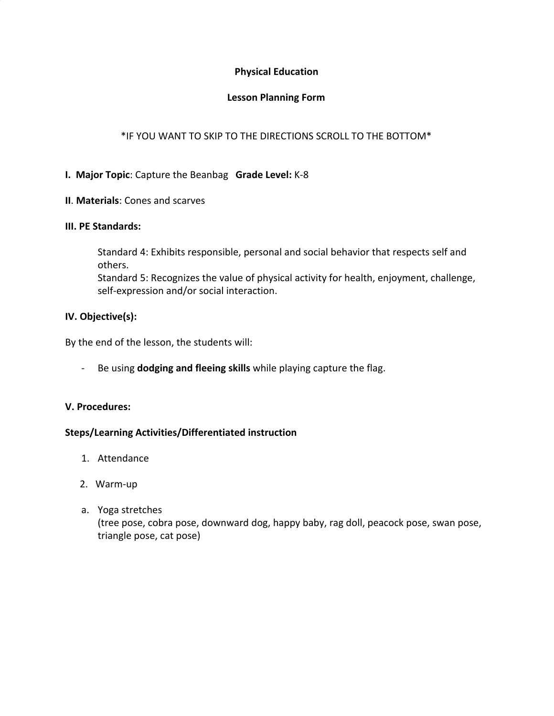# **Physical Education**

# **Lesson Planning Form**

# \*IF YOU WANT TO SKIP TO THE DIRECTIONS SCROLL TO THE BOTTOM\*

# **I. Major Topic**: Capture the Beanbag **Grade Level:** K-8

# **II**. **Materials**: Cones and scarves

#### **III. PE Standards:**

Standard 4: Exhibits responsible, personal and social behavior that respects self and others.

Standard 5: Recognizes the value of physical activity for health, enjoyment, challenge, self-expression and/or social interaction.

# **IV. Objective(s):**

By the end of the lesson, the students will:

- Be using **dodging and fleeing skills** while playing capture the flag.

# **V. Procedures:**

# **Steps/Learning Activities/Differentiated instruction**

- 1. Attendance
- 2. Warm-up
- a. Yoga stretches (tree pose, cobra pose, downward dog, happy baby, rag doll, peacock pose, swan pose, triangle pose, cat pose)